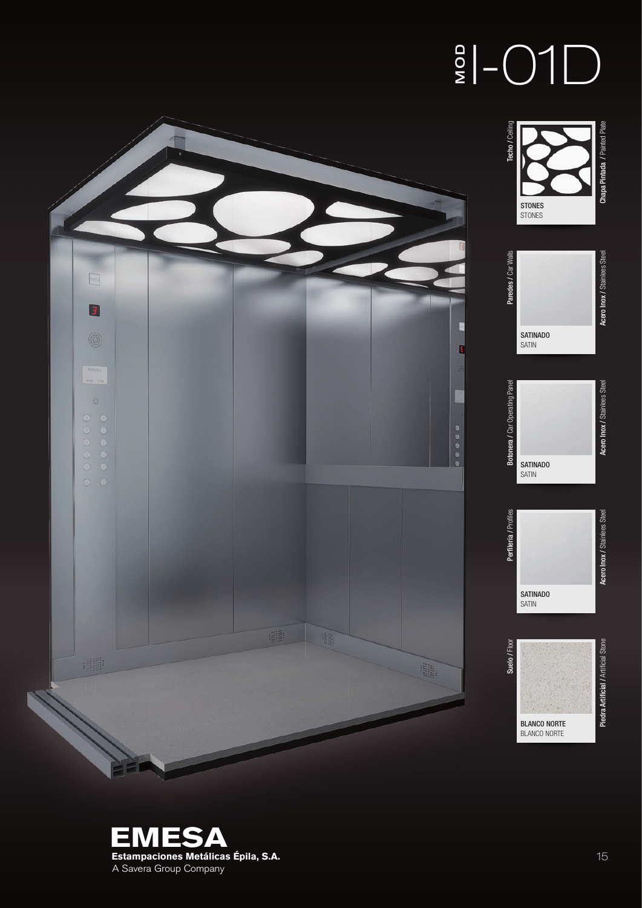## $\frac{1}{2}$  -01D